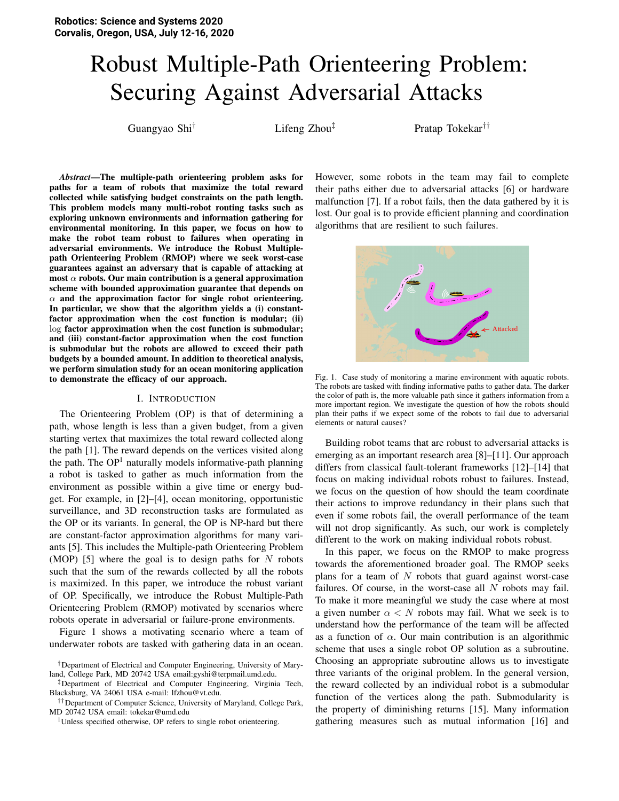# Robust Multiple-Path Orienteering Problem: Securing Against Adversarial Attacks

Guangyao Shi<sup>†</sup> Lifeng Zhou<sup>‡</sup> Pratap Tokekar<sup>††</sup>

*Abstract*—The multiple-path orienteering problem asks for paths for a team of robots that maximize the total reward collected while satisfying budget constraints on the path length. This problem models many multi-robot routing tasks such as exploring unknown environments and information gathering for environmental monitoring. In this paper, we focus on how to make the robot team robust to failures when operating in adversarial environments. We introduce the Robust Multiplepath Orienteering Problem (RMOP) where we seek worst-case guarantees against an adversary that is capable of attacking at most  $\alpha$  robots. Our main contribution is a general approximation scheme with bounded approximation guarantee that depends on  $\alpha$  and the approximation factor for single robot orienteering. In particular, we show that the algorithm yields a (i) constantfactor approximation when the cost function is modular; (ii) log factor approximation when the cost function is submodular; and (iii) constant-factor approximation when the cost function is submodular but the robots are allowed to exceed their path budgets by a bounded amount. In addition to theoretical analysis, we perform simulation study for an ocean monitoring application to demonstrate the efficacy of our approach.

# I. INTRODUCTION

The Orienteering Problem (OP) is that of determining a path, whose length is less than a given budget, from a given starting vertex that maximizes the total reward collected along the path [\[1\]](#page-7-0). The reward depends on the vertices visited along the path. The  $OP<sup>1</sup>$  $OP<sup>1</sup>$  $OP<sup>1</sup>$  naturally models informative-path planning a robot is tasked to gather as much information from the environment as possible within a give time or energy budget. For example, in [\[2\]](#page-8-0)–[\[4\]](#page-8-1), ocean monitoring, opportunistic surveillance, and 3D reconstruction tasks are formulated as the OP or its variants. In general, the OP is NP-hard but there are constant-factor approximation algorithms for many variants [\[5\]](#page-8-2). This includes the Multiple-path Orienteering Problem (MOP) [\[5\]](#page-8-2) where the goal is to design paths for  $N$  robots such that the sum of the rewards collected by all the robots is maximized. In this paper, we introduce the robust variant of OP. Specifically, we introduce the Robust Multiple-Path Orienteering Problem (RMOP) motivated by scenarios where robots operate in adversarial or failure-prone environments.

Figure [1](#page-0-1) shows a motivating scenario where a team of underwater robots are tasked with gathering data in an ocean.

††Department of Computer Science, University of Maryland, College Park, MD 20742 USA email: tokekar@umd.edu

<span id="page-0-0"></span><sup>1</sup>Unless specified otherwise, OP refers to single robot orienteering.

However, some robots in the team may fail to complete their paths either due to adversarial attacks [\[6\]](#page-8-3) or hardware malfunction [\[7\]](#page-8-4). If a robot fails, then the data gathered by it is lost. Our goal is to provide efficient planning and coordination algorithms that are resilient to such failures.



<span id="page-0-1"></span>Fig. 1. Case study of monitoring a marine environment with aquatic robots. The robots are tasked with finding informative paths to gather data. The darker the color of path is, the more valuable path since it gathers information from a more important region. We investigate the question of how the robots should plan their paths if we expect some of the robots to fail due to adversarial elements or natural causes?

Building robot teams that are robust to adversarial attacks is emerging as an important research area [\[8\]](#page-8-5)–[\[11\]](#page-8-6). Our approach differs from classical fault-tolerant frameworks [\[12\]](#page-8-7)–[\[14\]](#page-8-8) that focus on making individual robots robust to failures. Instead, we focus on the question of how should the team coordinate their actions to improve redundancy in their plans such that even if some robots fail, the overall performance of the team will not drop significantly. As such, our work is completely different to the work on making individual robots robust.

In this paper, we focus on the RMOP to make progress towards the aforementioned broader goal. The RMOP seeks plans for a team of  $N$  robots that guard against worst-case failures. Of course, in the worst-case all  $N$  robots may fail. To make it more meaningful we study the case where at most a given number  $\alpha < N$  robots may fail. What we seek is to understand how the performance of the team will be affected as a function of  $\alpha$ . Our main contribution is an algorithmic scheme that uses a single robot OP solution as a subroutine. Choosing an appropriate subroutine allows us to investigate three variants of the original problem. In the general version, the reward collected by an individual robot is a submodular function of the vertices along the path. Submodularity is the property of diminishing returns [\[15\]](#page-8-9). Many information gathering measures such as mutual information [\[16\]](#page-8-10) and

<sup>†</sup>Department of Electrical and Computer Engineering, University of Maryland, College Park, MD 20742 USA email:gyshi@terpmail.umd.edu.

<sup>‡</sup>Department of Electrical and Computer Engineering, Virginia Tech, Blacksburg, VA 24061 USA e-mail: lfzhou@vt.edu.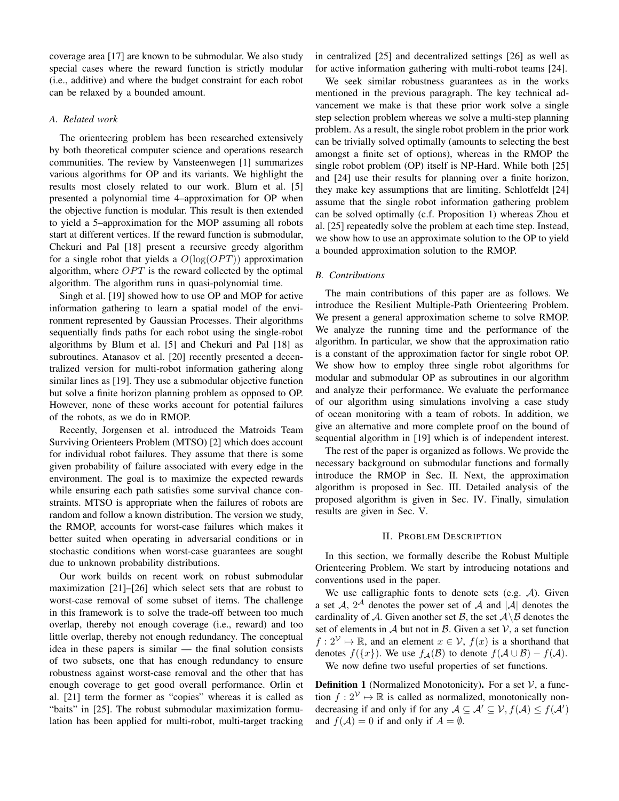coverage area [\[17\]](#page-8-11) are known to be submodular. We also study special cases where the reward function is strictly modular (i.e., additive) and where the budget constraint for each robot can be relaxed by a bounded amount.

# *A. Related work*

The orienteering problem has been researched extensively by both theoretical computer science and operations research communities. The review by Vansteenwegen [\[1\]](#page-7-0) summarizes various algorithms for OP and its variants. We highlight the results most closely related to our work. Blum et al. [\[5\]](#page-8-2) presented a polynomial time 4–approximation for OP when the objective function is modular. This result is then extended to yield a 5–approximation for the MOP assuming all robots start at different vertices. If the reward function is submodular, Chekuri and Pal [\[18\]](#page-8-12) present a recursive greedy algorithm for a single robot that yields a  $O(log(OPT))$  approximation algorithm, where  $OPT$  is the reward collected by the optimal algorithm. The algorithm runs in quasi-polynomial time.

Singh et al. [\[19\]](#page-8-13) showed how to use OP and MOP for active information gathering to learn a spatial model of the environment represented by Gaussian Processes. Their algorithms sequentially finds paths for each robot using the single-robot algorithms by Blum et al. [\[5\]](#page-8-2) and Chekuri and Pal [\[18\]](#page-8-12) as subroutines. Atanasov et al. [\[20\]](#page-8-14) recently presented a decentralized version for multi-robot information gathering along similar lines as [\[19\]](#page-8-13). They use a submodular objective function but solve a finite horizon planning problem as opposed to OP. However, none of these works account for potential failures of the robots, as we do in RMOP.

Recently, Jorgensen et al. introduced the Matroids Team Surviving Orienteers Problem (MTSO) [\[2\]](#page-8-0) which does account for individual robot failures. They assume that there is some given probability of failure associated with every edge in the environment. The goal is to maximize the expected rewards while ensuring each path satisfies some survival chance constraints. MTSO is appropriate when the failures of robots are random and follow a known distribution. The version we study, the RMOP, accounts for worst-case failures which makes it better suited when operating in adversarial conditions or in stochastic conditions when worst-case guarantees are sought due to unknown probability distributions.

Our work builds on recent work on robust submodular maximization [\[21\]](#page-8-15)–[\[26\]](#page-8-16) which select sets that are robust to worst-case removal of some subset of items. The challenge in this framework is to solve the trade-off between too much overlap, thereby not enough coverage (i.e., reward) and too little overlap, thereby not enough redundancy. The conceptual idea in these papers is similar — the final solution consists of two subsets, one that has enough redundancy to ensure robustness against worst-case removal and the other that has enough coverage to get good overall performance. Orlin et al. [\[21\]](#page-8-15) term the former as "copies" whereas it is called as "baits" in [\[25\]](#page-8-17). The robust submodular maximization formulation has been applied for multi-robot, multi-target tracking

in centralized [\[25\]](#page-8-17) and decentralized settings [\[26\]](#page-8-16) as well as for active information gathering with multi-robot teams [\[24\]](#page-8-18).

We seek similar robustness guarantees as in the works mentioned in the previous paragraph. The key technical advancement we make is that these prior work solve a single step selection problem whereas we solve a multi-step planning problem. As a result, the single robot problem in the prior work can be trivially solved optimally (amounts to selecting the best amongst a finite set of options), whereas in the RMOP the single robot problem (OP) itself is NP-Hard. While both [\[25\]](#page-8-17) and [\[24\]](#page-8-18) use their results for planning over a finite horizon, they make key assumptions that are limiting. Schlotfeldt [\[24\]](#page-8-18) assume that the single robot information gathering problem can be solved optimally (c.f. Proposition 1) whereas Zhou et al. [\[25\]](#page-8-17) repeatedly solve the problem at each time step. Instead, we show how to use an approximate solution to the OP to yield a bounded approximation solution to the RMOP.

# *B. Contributions*

The main contributions of this paper are as follows. We introduce the Resilient Multiple-Path Orienteering Problem. We present a general approximation scheme to solve RMOP. We analyze the running time and the performance of the algorithm. In particular, we show that the approximation ratio is a constant of the approximation factor for single robot OP. We show how to employ three single robot algorithms for modular and submodular OP as subroutines in our algorithm and analyze their performance. We evaluate the performance of our algorithm using simulations involving a case study of ocean monitoring with a team of robots. In addition, we give an alternative and more complete proof on the bound of sequential algorithm in [\[19\]](#page-8-13) which is of independent interest.

The rest of the paper is organized as follows. We provide the necessary background on submodular functions and formally introduce the RMOP in Sec. [II.](#page-1-0) Next, the approximation algorithm is proposed in Sec. [III.](#page-2-0) Detailed analysis of the proposed algorithm is given in Sec. [IV.](#page-4-0) Finally, simulation results are given in Sec. [V.](#page-5-0)

# II. PROBLEM DESCRIPTION

<span id="page-1-0"></span>In this section, we formally describe the Robust Multiple Orienteering Problem. We start by introducing notations and conventions used in the paper.

We use calligraphic fonts to denote sets (e.g.  $A$ ). Given a set  $A$ ,  $2^A$  denotes the power set of  $A$  and  $|A|$  denotes the cardinality of A. Given another set B, the set  $A \setminus B$  denotes the set of elements in  $A$  but not in  $B$ . Given a set  $V$ , a set function  $f: 2^{\mathcal{V}} \mapsto \mathbb{R}$ , and an element  $x \in \mathcal{V}$ ,  $f(x)$  is a shorthand that denotes  $f({x})$ . We use  $f_{\mathcal{A}}(\mathcal{B})$  to denote  $f(\mathcal{A} \cup \mathcal{B}) - f(\mathcal{A})$ .

We now define two useful properties of set functions.

**Definition 1** (Normalized Monotonicity). For a set  $V$ , a function  $f: 2^{\mathcal{V}} \mapsto \mathbb{R}$  is called as normalized, monotonically nondecreasing if and only if for any  $A \subseteq A' \subseteq V, f(A) \leq f(A')$ and  $f(A) = 0$  if and only if  $A = \emptyset$ .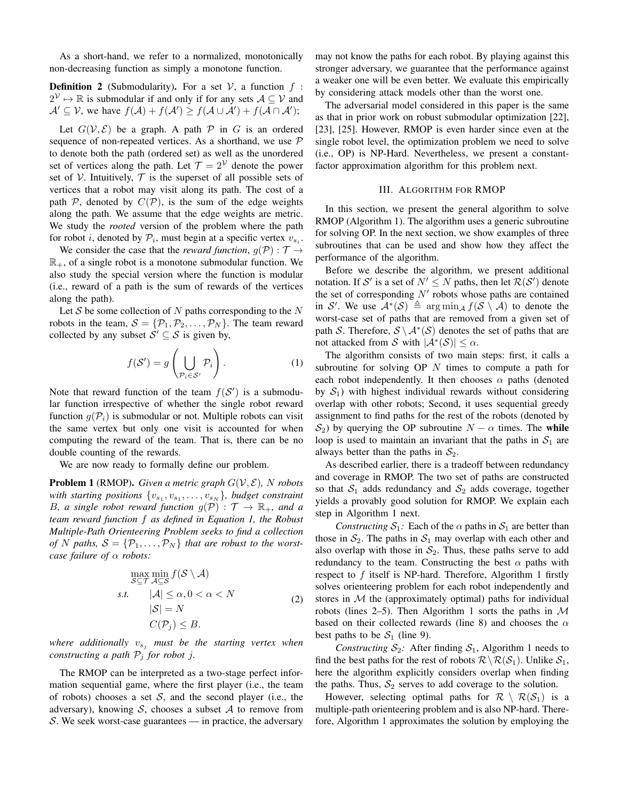As a short-hand, we refer to a normalized, monotonically non-decreasing function as simply a monotone function.

**Definition 2** (Submodularity). For a set  $V$ , a function  $f$ :  $2^{\mathcal{V}} \mapsto \mathbb{R}$  is submodular if and only if for any sets  $\mathcal{A} \subseteq \mathcal{V}$  and  $\mathcal{A}' \subseteq \mathcal{V}$ , we have  $f(\mathcal{A}) + f(\mathcal{A}') \geq f(\mathcal{A} \cup \mathcal{A}') + f(\mathcal{A} \cap \mathcal{A}')$ ;

Let  $G(V, \mathcal{E})$  be a graph. A path  $\mathcal P$  in G is an ordered sequence of non-repeated vertices. As a shorthand, we use  $P$ to denote both the path (ordered set) as well as the unordered set of vertices along the path. Let  $\mathcal{T} = 2^{\mathcal{V}}$  denote the power set of  $V$ . Intuitively,  $T$  is the superset of all possible sets of vertices that a robot may visit along its path. The cost of a path P, denoted by  $C(\mathcal{P})$ , is the sum of the edge weights along the path. We assume that the edge weights are metric. We study the *rooted* version of the problem where the path for robot *i*, denoted by  $P_i$ , must begin at a specific vertex  $v_{s_i}$ .

We consider the case that the *reward function*,  $q(\mathcal{P}) : \mathcal{T} \rightarrow$  $\mathbb{R}_+$ , of a single robot is a monotone submodular function. We also study the special version where the function is modular (i.e., reward of a path is the sum of rewards of the vertices along the path).

Let  $S$  be some collection of  $N$  paths corresponding to the  $N$ robots in the team,  $S = {\mathcal{P}_1, \mathcal{P}_2, \ldots, \mathcal{P}_N}$ . The team reward collected by any subset  $S' \subseteq S$  is given by,

<span id="page-2-1"></span>
$$
f(S') = g\left(\bigcup_{\mathcal{P}_i \in S'} \mathcal{P}_i\right). \tag{1}
$$

Note that reward function of the team  $f(S')$  is a submodular function irrespective of whether the single robot reward function  $q(\mathcal{P}_i)$  is submodular or not. Multiple robots can visit the same vertex but only one visit is accounted for when computing the reward of the team. That is, there can be no double counting of the rewards.

We are now ready to formally define our problem.

<span id="page-2-3"></span>**Problem 1** (RMOP). *Given a metric graph*  $G(V, E)$ *, N robots* with starting positions  $\{v_{s_1}, v_{s_1}, \ldots, v_{s_N}\}$ , budget constraint *B*, a single robot reward function  $g(\mathcal{P})$  :  $\mathcal{T} \to \mathbb{R}_+$ , and a *team reward function* f *as defined in Equation [1,](#page-2-1) the Robust Multiple-Path Orienteering Problem seeks to find a collection of* N paths,  $S = \{P_1, \ldots, P_N\}$  *that are robust to the worstcase failure of* α *robots:*

$$
\max_{\mathcal{S}\subseteq\mathcal{T}}\min_{\mathcal{A}\subseteq\mathcal{S}}f(\mathcal{S}\setminus\mathcal{A})
$$
  
s.t.  $|\mathcal{A}| \leq \alpha, 0 < \alpha < N$   
 $|\mathcal{S}| = N$   
 $C(\mathcal{P}_j) \leq B.$  (2)

*where additionally*  $v_{s_i}$  *must be the starting vertex when constructing a path*  $P_i$  *for robot j.* 

The RMOP can be interpreted as a two-stage perfect information sequential game, where the first player (i.e., the team of robots) chooses a set  $S$ , and the second player (i.e., the adversary), knowing S, chooses a subset A to remove from S. We seek worst-case guarantees — in practice, the adversary may not know the paths for each robot. By playing against this stronger adversary, we guarantee that the performance against a weaker one will be even better. We evaluate this empirically by considering attack models other than the worst one.

The adversarial model considered in this paper is the same as that in prior work on robust submodular optimization [\[22\]](#page-8-19), [\[23\]](#page-8-20), [\[25\]](#page-8-17). However, RMOP is even harder since even at the single robot level, the optimization problem we need to solve (i.e., OP) is NP-Hard. Nevertheless, we present a constantfactor approximation algorithm for this problem next.

# III. ALGORITHM FOR RMOP

<span id="page-2-0"></span>In this section, we present the general algorithm to solve RMOP (Algorithm [1\)](#page-2-2). The algorithm uses a generic subroutine for solving OP. In the next section, we show examples of three subroutines that can be used and show how they affect the performance of the algorithm.

Before we describe the algorithm, we present additional notation. If S' is a set of  $N' \leq N$  paths, then let  $\mathcal{R}(S')$  denote the set of corresponding  $N'$  robots whose paths are contained in S'. We use  $\mathcal{A}^*(\mathcal{S}) \triangleq \arg \min_{\mathcal{A}} f(\mathcal{S} \setminus \mathcal{A})$  to denote the worst-case set of paths that are removed from a given set of path S. Therefore,  $S \setminus A^*(S)$  denotes the set of paths that are not attacked from S with  $|\mathcal{A}^*(\mathcal{S})| \leq \alpha$ .

<span id="page-2-2"></span>The algorithm consists of two main steps: first, it calls a subroutine for solving OP N times to compute a path for each robot independently. It then chooses  $\alpha$  paths (denoted by  $S_1$ ) with highest individual rewards without considering overlap with other robots; Second, it uses sequential greedy assignment to find paths for the rest of the robots (denoted by  $S_2$ ) by querying the OP subroutine  $N - \alpha$  times. The while loop is used to maintain an invariant that the paths in  $S_1$  are always better than the paths in  $S_2$ .

As described earlier, there is a tradeoff between redundancy and coverage in RMOP. The two set of paths are constructed so that  $S_1$  adds redundancy and  $S_2$  adds coverage, together yields a provably good solution for RMOP. We explain each step in Algorithm [1](#page-2-2) next.

*Constructing*  $S_1$ : Each of the  $\alpha$  paths in  $S_1$  are better than those in  $S_2$ . The paths in  $S_1$  may overlap with each other and also overlap with those in  $S_2$ . Thus, these paths serve to add redundancy to the team. Constructing the best  $\alpha$  paths with respect to  $f$  itself is NP-hard. Therefore, Algorithm [1](#page-2-2) firstly solves orienteering problem for each robot independently and stores in  $M$  the (approximately optimal) paths for individual robots (lines 2–5). Then Algorithm [1](#page-2-2) sorts the paths in  $M$ based on their collected rewards (line 8) and chooses the  $\alpha$ best paths to be  $S_1$  (line 9).

*Constructing*  $S_2$ : After finding  $S_1$ , Algorithm [1](#page-2-2) needs to find the best paths for the rest of robots  $\mathcal{R}\backslash\mathcal{R}(\mathcal{S}_1)$ . Unlike  $\mathcal{S}_1$ , here the algorithm explicitly considers overlap when finding the paths. Thus,  $S_2$  serves to add coverage to the solution.

However, selecting optimal paths for  $\mathcal{R} \setminus \mathcal{R}(S_1)$  is a multiple-path orienteering problem and is also NP-hard. Therefore, Algorithm [1](#page-2-2) approximates the solution by employing the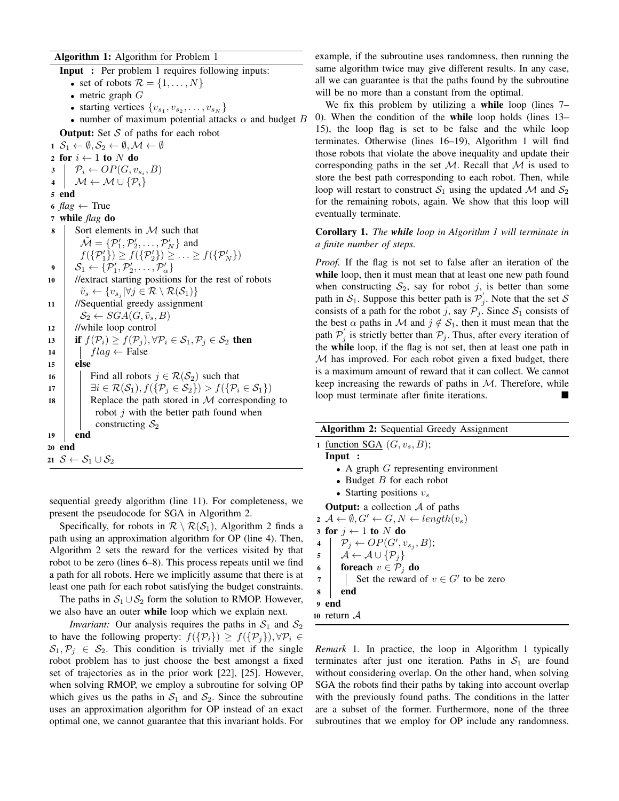# Algorithm 1: Algorithm for Problem [1](#page-2-3)

Input : Per problem [1](#page-2-3) requires following inputs: • set of robots  $\mathcal{R} = \{1, \ldots, N\}$ • metric graph  $G$ • starting vertices  $\{v_{s_1}, v_{s_2}, \ldots, v_{s_N}\}\;$ • number of maximum potential attacks  $\alpha$  and budget B **Output:** Set  $S$  of paths for each robot  $1 \mathcal{S}_1 \leftarrow \emptyset, \mathcal{S}_2 \leftarrow \emptyset, \mathcal{M} \leftarrow \emptyset$ 2 for  $i \leftarrow 1$  to N do<br>3  $\mid P_i \leftarrow OP(G, v)$  $\mathfrak{p}_i \leftarrow OP(G, v_{s_i}, B)$ 4  $\mathcal{M} \leftarrow \mathcal{M} \cup {\{\mathcal{P}_i\}}$ 5 end 6  $flag \leftarrow True$ <sup>7</sup> while *flag* do 8 Sort elements in  $M$  such that  $\tilde{\mathcal{M}} = {\mathcal{P}_1', \mathcal{P}_2', \dots, \mathcal{P}_N'}$  and  $f({\mathcal{P}_1'}) \ge f({\mathcal{P}_2'}) \ge \ldots \ge f({\mathcal{P}_N'})$  $\boldsymbol{\beta} \left[ \boldsymbol{\mathcal{S}}_1 \leftarrow \{\mathcal{P}_1^\prime, \mathcal{P}_2^\prime, \dots, \mathcal{P}_\alpha^\prime \} \right]$ <sup>10</sup> //extract starting positions for the rest of robots  $\tilde{v}_s \leftarrow \{v_{s_j} | \forall j \in \mathcal{R} \setminus \mathcal{R}(\mathcal{S}_1) \}$ <sup>11</sup> //Sequential greedy assignment  $\mathcal{S}_2 \leftarrow \text{SGA}(G, \tilde{v}_s, B)$ <sup>12</sup> //while loop control 13 if  $f(\mathcal{P}_i) \ge f(\mathcal{P}_j)$ ,  $\forall \mathcal{P}_i \in \mathcal{S}_1, \mathcal{P}_j \in \mathcal{S}_2$  then<br>
14  $\int lag \leftarrow$  False 14  $\int_{15}^{14}$  flag ← False else 16 Find all robots  $j \in \mathcal{R}(S_2)$  such that<br>  $\exists i \in \mathcal{R}(S_1), f(\{\mathcal{P}_i \in S_2\}) > f(\{\mathcal{P}_i\})$ 17  $\exists i \in \mathcal{R}(S_1), f(\{\mathcal{P}_i \in S_2\}) > f(\{\mathcal{P}_i \in S_1\})$ <br>18 Replace the path stored in M corresponding Replace the path stored in  $M$  corresponding to robot  $j$  with the better path found when constructing  $S_2$ 19 end 20 end 21  $S \leftarrow S_1 \cup S_2$ 

sequential greedy algorithm (line 11). For completeness, we present the pseudocode for SGA in Algorithm [2.](#page-3-0)

Specifically, for robots in  $\mathcal{R} \setminus \mathcal{R}(\mathcal{S}_1)$ , Algorithm [2](#page-3-0) finds a path using an approximation algorithm for OP (line 4). Then, Algorithm [2](#page-3-0) sets the reward for the vertices visited by that robot to be zero (lines 6–8). This process repeats until we find a path for all robots. Here we implicitly assume that there is at least one path for each robot satisfying the budget constraints.

The paths in  $S_1 \cup S_2$  form the solution to RMOP. However, we also have an outer while loop which we explain next.

*Invariant:* Our analysis requires the paths in  $S_1$  and  $S_2$ to have the following property:  $f(\{\mathcal{P}_i\}) \geq f(\{\mathcal{P}_j\}), \forall \mathcal{P}_i \in$  $S_1, \mathcal{P}_j \in S_2$ . This condition is trivially met if the single robot problem has to just choose the best amongst a fixed set of trajectories as in the prior work [\[22\]](#page-8-19), [\[25\]](#page-8-17). However, when solving RMOP, we employ a subroutine for solving OP which gives us the paths in  $S_1$  and  $S_2$ . Since the subroutine uses an approximation algorithm for OP instead of an exact optimal one, we cannot guarantee that this invariant holds. For example, if the subroutine uses randomness, then running the same algorithm twice may give different results. In any case, all we can guarantee is that the paths found by the subroutine will be no more than a constant from the optimal.

We fix this problem by utilizing a while loop (lines 7– 0). When the condition of the while loop holds (lines 13– 15), the loop flag is set to be false and the while loop terminates. Otherwise (lines 16–19), Algorithm [1](#page-2-2) will find those robots that violate the above inequality and update their corresponding paths in the set  $M$ . Recall that  $M$  is used to store the best path corresponding to each robot. Then, while loop will restart to construct  $S_1$  using the updated M and  $S_2$ for the remaining robots, again. We show that this loop will eventually terminate.

Corollary 1. *The while loop in Algorithm [1](#page-2-2) will terminate in a finite number of steps.*

*Proof.* If the flag is not set to false after an iteration of the while loop, then it must mean that at least one new path found when constructing  $S_2$ , say for robot j, is better than some path in  $S_1$ . Suppose this better path is  $\mathcal{P}'_j$ . Note that the set S consists of a path for the robot j, say  $P_j$ . Since  $S_1$  consists of the best  $\alpha$  paths in M and  $j \notin S_1$ , then it must mean that the path  $P'_{j}$  is strictly better than  $P_{j}$ . Thus, after every iteration of the while loop, if the flag is not set, then at least one path in M has improved. For each robot given a fixed budget, there is a maximum amount of reward that it can collect. We cannot keep increasing the rewards of paths in  $M$ . Therefore, while loop must terminate after finite iterations.

<span id="page-3-0"></span>

| <b>Algorithm 2:</b> Sequential Greedy Assignment                                                                                                                                                 |
|--------------------------------------------------------------------------------------------------------------------------------------------------------------------------------------------------|
| 1 function SGA $(G, v_s, B)$ ;                                                                                                                                                                   |
| Input:                                                                                                                                                                                           |
| • A graph $G$ representing environment                                                                                                                                                           |
| • Budget $B$ for each robot                                                                                                                                                                      |
| • Starting positions $v_s$                                                                                                                                                                       |
| <b>Output:</b> a collection $\mathcal A$ of paths                                                                                                                                                |
| $\mathfrak{a} \mathcal{A} \leftarrow \emptyset, G' \leftarrow G, N \leftarrow length(v_s)$                                                                                                       |
| 3 for $j \leftarrow 1$ to N do                                                                                                                                                                   |
| $\mathcal{P}_j \leftarrow OP(G', v_{s_i}, B);$<br>$\overline{\mathbf{4}}$                                                                                                                        |
|                                                                                                                                                                                                  |
| 4 $\begin{array}{c}\nP_j \leftarrow OP(G', v_{s_j},\n\end{array}$<br>6 $\begin{array}{c}\nA \leftarrow A \cup \{\mathcal{P}_j\} \\ \text{for each } v \in \mathcal{P}_j \text{ do}\n\end{array}$ |
| Set the reward of $v \in G'$ to be zero<br>$\overline{7}$                                                                                                                                        |
| end<br>8                                                                                                                                                                                         |
| 9 end                                                                                                                                                                                            |
| 10 return $A$                                                                                                                                                                                    |
| <i>Remark</i> 1 In practice the loop in Algorithm 1 typically                                                                                                                                    |

*Remark* 1*.* In practice, the loop in Algorithm [1](#page-2-2) typically terminates after just one iteration. Paths in  $S_1$  are found without considering overlap. On the other hand, when solving SGA the robots find their paths by taking into account overlap with the previously found paths. The conditions in the latter are a subset of the former. Furthermore, none of the three subroutines that we employ for OP include any randomness.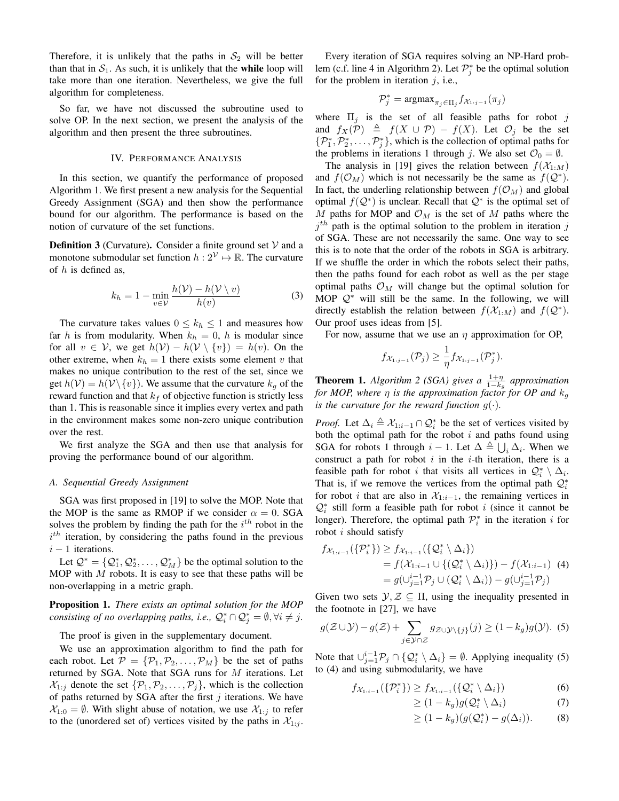Therefore, it is unlikely that the paths in  $S_2$  will be better than that in  $S_1$ . As such, it is unlikely that the while loop will take more than one iteration. Nevertheless, we give the full algorithm for completeness.

So far, we have not discussed the subroutine used to solve OP. In the next section, we present the analysis of the algorithm and then present the three subroutines.

# IV. PERFORMANCE ANALYSIS

<span id="page-4-0"></span>In this section, we quantify the performance of proposed Algorithm [1.](#page-2-2) We first present a new analysis for the Sequential Greedy Assignment (SGA) and then show the performance bound for our algorithm. The performance is based on the notion of curvature of the set functions.

**Definition 3** (Curvature). Consider a finite ground set  $V$  and a monotone submodular set function  $h: 2^{\mathcal{V}} \mapsto \mathbb{R}$ . The curvature of  $h$  is defined as.

$$
k_h = 1 - \min_{v \in \mathcal{V}} \frac{h(\mathcal{V}) - h(\mathcal{V} \setminus v)}{h(v)}
$$
(3)

The curvature takes values  $0 \leq k_h \leq 1$  and measures how far h is from modularity. When  $k_h = 0$ , h is modular since for all  $v \in V$ , we get  $h(V) - h(V \setminus \{v\}) = h(v)$ . On the other extreme, when  $k_h = 1$  there exists some element v that makes no unique contribution to the rest of the set, since we get  $h(\mathcal{V}) = h(\mathcal{V} \setminus \{v\})$ . We assume that the curvature  $k_g$  of the reward function and that  $k_f$  of objective function is strictly less than 1. This is reasonable since it implies every vertex and path in the environment makes some non-zero unique contribution over the rest.

We first analyze the SGA and then use that analysis for proving the performance bound of our algorithm.

#### *A. Sequential Greedy Assignment*

SGA was first proposed in [\[19\]](#page-8-13) to solve the MOP. Note that the MOP is the same as RMOP if we consider  $\alpha = 0$ . SGA solves the problem by finding the path for the  $i^{th}$  robot in the  $i<sup>th</sup>$  iteration, by considering the paths found in the previous  $i - 1$  iterations.

Let  $\mathcal{Q}^* = \{Q_1^*, Q_2^*, \dots, Q_M^*\}$  be the optimal solution to the MOP with  $M$  robots. It is easy to see that these paths will be non-overlapping in a metric graph.

<span id="page-4-3"></span>Proposition 1. *There exists an optimal solution for the MOP consisting of no overlapping paths, i.e.,*  $\mathcal{Q}_i^* \cap \mathcal{Q}_j^* = \emptyset, \forall i \neq j$ .

The proof is given in the supplementary document.

We use an approximation algorithm to find the path for each robot. Let  $\mathcal{P} = {\mathcal{P}_1, \mathcal{P}_2, \ldots, \mathcal{P}_M}$  be the set of paths returned by SGA. Note that SGA runs for  $M$  iterations. Let  $\mathcal{X}_{1:i}$  denote the set  $\{\mathcal{P}_1, \mathcal{P}_2, \ldots, \mathcal{P}_i\}$ , which is the collection of paths returned by SGA after the first  $j$  iterations. We have  $\mathcal{X}_{1:0} = \emptyset$ . With slight abuse of notation, we use  $\mathcal{X}_{1:j}$  to refer to the (unordered set of) vertices visited by the paths in  $\mathcal{X}_{1:j}$ .

Every iteration of SGA requires solving an NP-Hard prob-lem (c.f. line 4 in Algorithm [2\)](#page-3-0). Let  $\mathcal{P}_{j}^{*}$  be the optimal solution for the problem in iteration  $j$ , i.e.,

$$
\mathcal{P}_j^* = \operatorname{argmax}_{\pi_j \in \Pi_j} f_{\mathcal{X}_{1:j-1}}(\pi_j)
$$

where  $\Pi_i$  is the set of all feasible paths for robot j and  $f_X(\mathcal{P}) \triangleq f(X \cup \mathcal{P}) - f(X)$ . Let  $\mathcal{O}_i$  be the set  $\{\mathcal{P}_1^*, \mathcal{P}_2^*, \ldots, \mathcal{P}_j^*\}$ , which is the collection of optimal paths for the problems in iterations 1 through j. We also set  $\mathcal{O}_0 = \emptyset$ .

The analysis in [\[19\]](#page-8-13) gives the relation between  $f(\mathcal{X}_{1:M})$ and  $f(\mathcal{O}_M)$  which is not necessarily be the same as  $f(\mathcal{Q}^*)$ . In fact, the underling relationship between  $f(\mathcal{O}_M)$  and global optimal  $f(Q^*)$  is unclear. Recall that  $Q^*$  is the optimal set of M paths for MOP and  $\mathcal{O}_M$  is the set of M paths where the  $j<sup>th</sup>$  path is the optimal solution to the problem in iteration j of SGA. These are not necessarily the same. One way to see this is to note that the order of the robots in SGA is arbitrary. If we shuffle the order in which the robots select their paths, then the paths found for each robot as well as the per stage optimal paths  $\mathcal{O}_M$  will change but the optimal solution for MOP  $Q^*$  will still be the same. In the following, we will directly establish the relation between  $f(\mathcal{X}_{1:M})$  and  $f(\mathcal{Q}^*)$ . Our proof uses ideas from [\[5\]](#page-8-2).

For now, assume that we use an  $\eta$  approximation for OP,

$$
f_{\mathcal{X}_{1:j-1}}(\mathcal{P}_j) \geq \frac{1}{\eta} f_{\mathcal{X}_{1:j-1}}(\mathcal{P}_j^*).
$$

<span id="page-4-4"></span>**Theorem 1.** *Algorithm* [2](#page-3-0) (SGA) gives a  $\frac{1+\eta}{1-k_g}$  approximation *for MOP, where*  $\eta$  *is the approximation factor for OP and*  $k_q$ *is the curvature for the reward function*  $q(.)$ *.* 

*Proof.* Let  $\Delta_i \triangleq \mathcal{X}_{1:i-1} \cap \mathcal{Q}_i^*$  be the set of vertices visited by both the optimal path for the robot  $i$  and paths found using SGA for robots 1 through  $i-1$ . Let  $\Delta \triangleq \bigcup_i \Delta_i$ . When we construct a path for robot  $i$  in the  $i$ -th iteration, there is a feasible path for robot i that visits all vertices in  $\mathcal{Q}_i^* \setminus \Delta_i$ . That is, if we remove the vertices from the optimal path  $\mathcal{Q}_i^*$ for robot *i* that are also in  $X_{1:i-1}$ , the remaining vertices in  $\mathcal{Q}_i^*$  still form a feasible path for robot i (since it cannot be longer). Therefore, the optimal path  $\mathcal{P}_i^*$  in the iteration i for robot  $i$  should satisfy

<span id="page-4-2"></span>
$$
f_{\mathcal{X}_{1:i-1}}(\{\mathcal{P}_{i}^{*}\}) \ge f_{\mathcal{X}_{1:i-1}}(\{\mathcal{Q}_{i}^{*} \setminus \Delta_{i}\})
$$
  
=  $f(\mathcal{X}_{1:i-1} \cup \{(\mathcal{Q}_{i}^{*} \setminus \Delta_{i})\}) - f(\mathcal{X}_{1:i-1})$  (4)  
=  $g(\cup_{j=1}^{i-1} \mathcal{P}_{j} \cup (\mathcal{Q}_{i}^{*} \setminus \Delta_{i})) - g(\cup_{j=1}^{i-1} \mathcal{P}_{j})$ 

Given two sets  $\mathcal{Y}, \mathcal{Z} \subseteq \Pi$ , using the inequality presented in the footnote in [\[27\]](#page-8-21), we have

<span id="page-4-1"></span>
$$
g(\mathcal{Z} \cup \mathcal{Y}) - g(\mathcal{Z}) + \sum_{j \in \mathcal{Y} \cap \mathcal{Z}} g_{\mathcal{Z} \cup \mathcal{Y} \setminus \{j\}}(j) \ge (1 - k_g)g(\mathcal{Y}).
$$
 (5)

Note that  $\bigcup_{j=1}^{i-1} P_j \cap \{Q_i^* \setminus \Delta_i\} = \emptyset$ . Applying inequality [\(5\)](#page-4-1) to [\(4\)](#page-4-2) and using submodularity, we have

$$
f_{\mathcal{X}_{1:i-1}}(\{\mathcal{P}_i^*\}) \ge f_{\mathcal{X}_{1:i-1}}(\{\mathcal{Q}_i^*\setminus\Delta_i\})
$$
(6)

$$
\geq (1 - k_g)g(\mathcal{Q}_i^* \setminus \Delta_i) \tag{7}
$$

$$
\geq (1 - k_g)(g(\mathcal{Q}_i^*) - g(\Delta_i)). \tag{8}
$$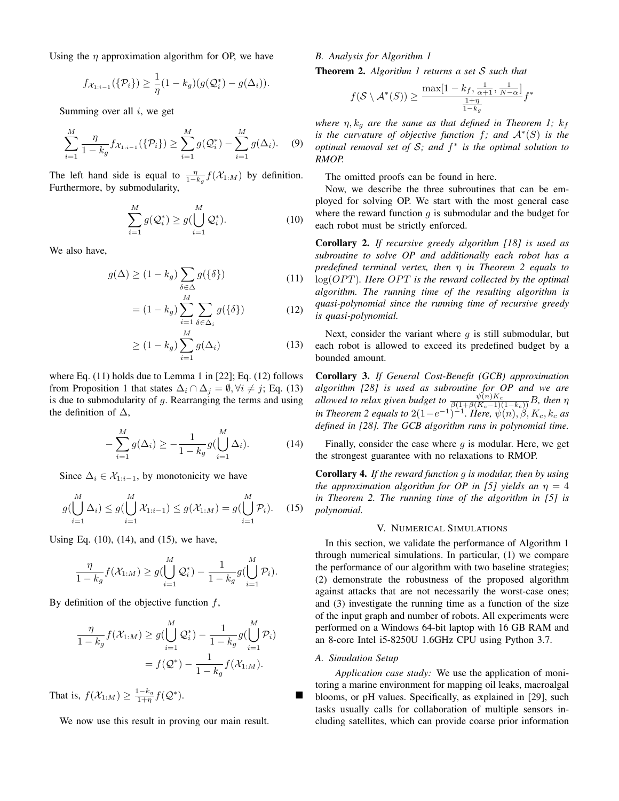Using the  $\eta$  approximation algorithm for OP, we have

$$
f_{\mathcal{X}_{1:i-1}}(\{\mathcal{P}_i\}) \geq \frac{1}{\eta}(1 - k_g)(g(\mathcal{Q}_i^*) - g(\Delta_i)).
$$

Summing over all  $i$ , we get

$$
\sum_{i=1}^{M} \frac{\eta}{1 - k_g} f_{\mathcal{X}_{1:i-1}}(\{\mathcal{P}_i\}) \ge \sum_{i=1}^{M} g(\mathcal{Q}_i^*) - \sum_{i=1}^{M} g(\Delta_i). \tag{9}
$$

The left hand side is equal to  $\frac{\eta}{1-k_g} f(\mathcal{X}_{1:M})$  by definition. Furthermore, by submodularity,

<span id="page-5-4"></span>
$$
\sum_{i=1}^{M} g(\mathcal{Q}_i^*) \ge g(\bigcup_{i=1}^{M} \mathcal{Q}_i^*).
$$
\n(10)

We also have,

$$
g(\Delta) \ge (1 - k_g) \sum_{\delta \in \Delta} g(\{\delta\}) \tag{11}
$$

$$
= (1 - k_g) \sum_{i=1}^{M} \sum_{\delta \in \Delta_i} g(\{\delta\})
$$
 (12)

$$
\geq (1 - k_g) \sum_{i=1}^{M} g(\Delta_i)
$$
\n(13)

where Eq. [\(11\)](#page-5-1) holds due to Lemma 1 in [\[22\]](#page-8-19); Eq. [\(12\)](#page-5-2) follows from Proposition [1](#page-4-3) that states  $\Delta_i \cap \Delta_j = \emptyset, \forall i \neq j$ ; Eq. [\(13\)](#page-5-3) is due to submodularity of  $q$ . Rearranging the terms and using the definition of  $\Delta$ ,

<span id="page-5-5"></span>
$$
-\sum_{i=1}^{M} g(\Delta_i) \ge -\frac{1}{1 - k_g} g(\bigcup_{i=1}^{M} \Delta_i).
$$
 (14)

Since  $\Delta_i \in \mathcal{X}_{1:i-1}$ , by monotonicity we have

<span id="page-5-6"></span>
$$
g(\bigcup_{i=1}^{M} \Delta_i) \le g(\bigcup_{i=1}^{M} \mathcal{X}_{1:i-1}) \le g(\mathcal{X}_{1:M}) = g(\bigcup_{i=1}^{M} \mathcal{P}_i). \quad (15)
$$

Using Eq. [\(10\)](#page-5-4), [\(14\)](#page-5-5), and [\(15\)](#page-5-6), we have,

$$
\frac{\eta}{1-k_g}f(\mathcal{X}_{1:M}) \ge g\left(\bigcup_{i=1}^M \mathcal{Q}_i^*\right) - \frac{1}{1-k_g}g\left(\bigcup_{i=1}^M \mathcal{P}_i\right).
$$

By definition of the objective function  $f$ ,

$$
\frac{\eta}{1 - k_g} f(\mathcal{X}_{1:M}) \ge g(\bigcup_{i=1}^M \mathcal{Q}_i^*) - \frac{1}{1 - k_g} g(\bigcup_{i=1}^M \mathcal{P}_i)
$$

$$
= f(\mathcal{Q}^*) - \frac{1}{1 - k_g} f(\mathcal{X}_{1:M}).
$$

That is,  $f(\mathcal{X}_{1:M}) \geq \frac{1-k_g}{1+\eta} f(Q^*)$  $\blacksquare$ 

We now use this result in proving our main result.

# *B. Analysis for Algorithm [1](#page-2-2)*

<span id="page-5-7"></span>Theorem 2. *Algorithm [1](#page-2-2) returns a set* S *such that*

$$
f(\mathcal{S} \setminus \mathcal{A}^*(S)) \ge \frac{\max\left[1 - k_f, \frac{1}{\alpha+1}, \frac{1}{N-\alpha}\right]}{\frac{1+\eta}{1-k_g}} f^*
$$

*where*  $\eta$ ,  $k_g$  *are the same as that defined in Theorem [1;](#page-4-4)*  $k_f$ *is the curvature of objective function* f*; and* A<sup>∗</sup> (S) *is the optimal removal set of* S*; and* f ∗ *is the optimal solution to RMOP.*

The omitted proofs can be found in [here.](https://drive.google.com/file/d/1m-ASPFcm7mUe6LD9j0UJHT9ctV6HIyvw/view?usp=sharing)

Now, we describe the three subroutines that can be employed for solving OP. We start with the most general case where the reward function  $q$  is submodular and the budget for each robot must be strictly enforced.

<span id="page-5-1"></span>Corollary 2. *If recursive greedy algorithm [\[18\]](#page-8-12) is used as subroutine to solve OP and additionally each robot has a predefined terminal vertex, then* η *in Theorem [2](#page-5-7) equals to* log(*OPT*). Here *OPT* is the reward collected by the optimal *algorithm. The running time of the resulting algorithm is quasi-polynomial since the running time of recursive greedy is quasi-polynomial.*

<span id="page-5-3"></span><span id="page-5-2"></span>Next, consider the variant where  $q$  is still submodular, but each robot is allowed to exceed its predefined budget by a bounded amount.

Corollary 3. *If General Cost-Benefit (GCB) approximation algorithm [\[28\]](#page-8-22) is used as subroutine for OP and we are allowed to relax given budget to*  $\frac{\psi(n)K_c}{\beta(1+\beta(K_c-1)(1-k_c))}B$ , then  $\eta$ *in Theorem* [2](#page-5-7) *equals to*  $2(1-e^{-1})^{-1}$ *. Here,*  $\psi(n)$ *,*  $\beta$ *, K<sub>c</sub>, k<sub>c</sub> as defined in [\[28\]](#page-8-22). The GCB algorithm runs in polynomial time.*

Finally, consider the case where  $q$  is modular. Here, we get the strongest guarantee with no relaxations to RMOP.

Corollary 4. *If the reward function* g *is modular, then by using the approximation algorithm for OP in [\[5\]](#page-8-2) yields an*  $\eta = 4$ *in Theorem [2.](#page-5-7) The running time of the algorithm in [\[5\]](#page-8-2) is polynomial.*

# V. NUMERICAL SIMULATIONS

<span id="page-5-0"></span>In this section, we validate the performance of Algorithm [1](#page-2-2) through numerical simulations. In particular, (1) we compare the performance of our algorithm with two baseline strategies; (2) demonstrate the robustness of the proposed algorithm against attacks that are not necessarily the worst-case ones; and (3) investigate the running time as a function of the size of the input graph and number of robots. All experiments were performed on a Windows 64-bit laptop with 16 GB RAM and an 8-core Intel i5-8250U 1.6GHz CPU using Python 3.7.

#### *A. Simulation Setup*

*Application case study:* We use the application of monitoring a marine environment for mapping oil leaks, macroalgal blooms, or pH values. Specifically, as explained in [\[29\]](#page-8-23), such tasks usually calls for collaboration of multiple sensors including satellites, which can provide coarse prior information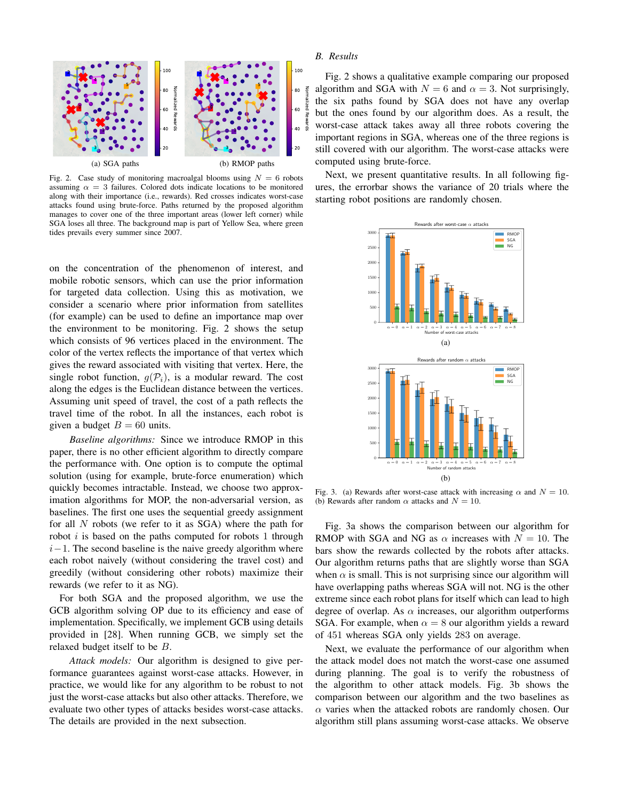

<span id="page-6-0"></span>Fig. 2. Case study of monitoring macroalgal blooms using  $N = 6$  robots assuming  $\alpha = 3$  failures. Colored dots indicate locations to be monitored along with their importance (i.e., rewards). Red crosses indicates worst-case attacks found using brute-force. Paths returned by the proposed algorithm manages to cover one of the three important areas (lower left corner) while SGA loses all three. The background map is part of Yellow Sea, where green tides prevails every summer since 2007.

on the concentration of the phenomenon of interest, and mobile robotic sensors, which can use the prior information for targeted data collection. Using this as motivation, we consider a scenario where prior information from satellites (for example) can be used to define an importance map over the environment to be monitoring. Fig. [2](#page-6-0) shows the setup which consists of 96 vertices placed in the environment. The color of the vertex reflects the importance of that vertex which gives the reward associated with visiting that vertex. Here, the single robot function,  $q(\mathcal{P}_i)$ , is a modular reward. The cost along the edges is the Euclidean distance between the vertices. Assuming unit speed of travel, the cost of a path reflects the travel time of the robot. In all the instances, each robot is given a budget  $B = 60$  units.

*Baseline algorithms:* Since we introduce RMOP in this paper, there is no other efficient algorithm to directly compare the performance with. One option is to compute the optimal solution (using for example, brute-force enumeration) which quickly becomes intractable. Instead, we choose two approximation algorithms for MOP, the non-adversarial version, as baselines. The first one uses the sequential greedy assignment for all  $N$  robots (we refer to it as  $SGA$ ) where the path for robot  $i$  is based on the paths computed for robots 1 through  $i-1$ . The second baseline is the naive greedy algorithm where each robot naively (without considering the travel cost) and greedily (without considering other robots) maximize their rewards (we refer to it as NG).

For both SGA and the proposed algorithm, we use the GCB algorithm solving OP due to its efficiency and ease of implementation. Specifically, we implement GCB using details provided in [\[28\]](#page-8-22). When running GCB, we simply set the relaxed budget itself to be B.

*Attack models:* Our algorithm is designed to give performance guarantees against worst-case attacks. However, in practice, we would like for any algorithm to be robust to not just the worst-case attacks but also other attacks. Therefore, we evaluate two other types of attacks besides worst-case attacks. The details are provided in the next subsection.

# *B. Results*

Fig. [2](#page-6-0) shows a qualitative example comparing our proposed algorithm and SGA with  $N = 6$  and  $\alpha = 3$ . Not surprisingly, the six paths found by SGA does not have any overlap but the ones found by our algorithm does. As a result, the worst-case attack takes away all three robots covering the important regions in SGA, whereas one of the three regions is still covered with our algorithm. The worst-case attacks were computed using brute-force.

Next, we present quantitative results. In all following figures, the errorbar shows the variance of 20 trials where the starting robot positions are randomly chosen.

<span id="page-6-1"></span>

<span id="page-6-2"></span>Fig. 3. (a) Rewards after worst-case attack with increasing  $\alpha$  and  $N = 10$ . (b) Rewards after random  $\alpha$  attacks and  $N = 10$ .

Fig. [3a](#page-6-1) shows the comparison between our algorithm for RMOP with SGA and NG as  $\alpha$  increases with  $N = 10$ . The bars show the rewards collected by the robots after attacks. Our algorithm returns paths that are slightly worse than SGA when  $\alpha$  is small. This is not surprising since our algorithm will have overlapping paths whereas SGA will not. NG is the other extreme since each robot plans for itself which can lead to high degree of overlap. As  $\alpha$  increases, our algorithm outperforms SGA. For example, when  $\alpha = 8$  our algorithm yields a reward of 451 whereas SGA only yields 283 on average.

Next, we evaluate the performance of our algorithm when the attack model does not match the worst-case one assumed during planning. The goal is to verify the robustness of the algorithm to other attack models. Fig. [3b](#page-6-2) shows the comparison between our algorithm and the two baselines as  $\alpha$  varies when the attacked robots are randomly chosen. Our algorithm still plans assuming worst-case attacks. We observe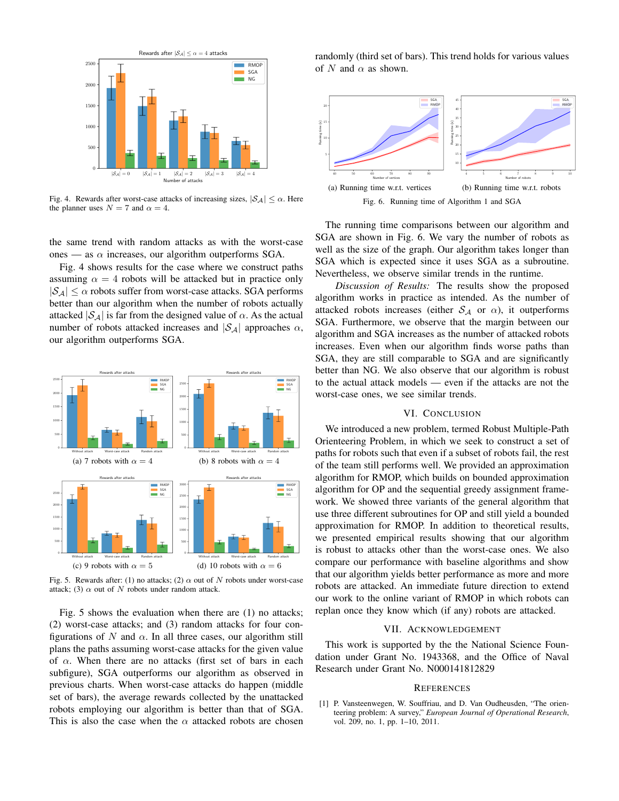

<span id="page-7-1"></span>Fig. 4. Rewards after worst-case attacks of increasing sizes,  $|\mathcal{S}_A| \leq \alpha$ . Here the planner uses  $N = 7$  and  $\alpha = 4$ .

the same trend with random attacks as with the worst-case ones — as  $\alpha$  increases, our algorithm outperforms SGA.

Fig. [4](#page-7-1) shows results for the case where we construct paths assuming  $\alpha = 4$  robots will be attacked but in practice only  $|S_A| < \alpha$  robots suffer from worst-case attacks. SGA performs better than our algorithm when the number of robots actually attacked  $|\mathcal{S}_{\mathcal{A}}|$  is far from the designed value of  $\alpha$ . As the actual number of robots attacked increases and  $|S_A|$  approaches  $\alpha$ , our algorithm outperforms SGA.



<span id="page-7-2"></span>Fig. 5. Rewards after: (1) no attacks; (2)  $\alpha$  out of N robots under worst-case attack; (3)  $\alpha$  out of N robots under random attack.

Fig. [5](#page-7-2) shows the evaluation when there are (1) no attacks; (2) worst-case attacks; and (3) random attacks for four configurations of N and  $\alpha$ . In all three cases, our algorithm still plans the paths assuming worst-case attacks for the given value of  $\alpha$ . When there are no attacks (first set of bars in each subfigure), SGA outperforms our algorithm as observed in previous charts. When worst-case attacks do happen (middle set of bars), the average rewards collected by the unattacked robots employing our algorithm is better than that of SGA. This is also the case when the  $\alpha$  attacked robots are chosen randomly (third set of bars). This trend holds for various values of N and  $\alpha$  as shown.



<span id="page-7-3"></span>The running time comparisons between our algorithm and SGA are shown in Fig. [6.](#page-7-3) We vary the number of robots as well as the size of the graph. Our algorithm takes longer than SGA which is expected since it uses SGA as a subroutine. Nevertheless, we observe similar trends in the runtime.

*Discussion of Results:* The results show the proposed algorithm works in practice as intended. As the number of attacked robots increases (either  $S_A$  or  $\alpha$ ), it outperforms SGA. Furthermore, we observe that the margin between our algorithm and SGA increases as the number of attacked robots increases. Even when our algorithm finds worse paths than SGA, they are still comparable to SGA and are significantly better than NG. We also observe that our algorithm is robust to the actual attack models — even if the attacks are not the worst-case ones, we see similar trends.

# VI. CONCLUSION

We introduced a new problem, termed Robust Multiple-Path Orienteering Problem, in which we seek to construct a set of paths for robots such that even if a subset of robots fail, the rest of the team still performs well. We provided an approximation algorithm for RMOP, which builds on bounded approximation algorithm for OP and the sequential greedy assignment framework. We showed three variants of the general algorithm that use three different subroutines for OP and still yield a bounded approximation for RMOP. In addition to theoretical results, we presented empirical results showing that our algorithm is robust to attacks other than the worst-case ones. We also compare our performance with baseline algorithms and show that our algorithm yields better performance as more and more robots are attacked. An immediate future direction to extend our work to the online variant of RMOP in which robots can replan once they know which (if any) robots are attacked.

# VII. ACKNOWLEDGEMENT

This work is supported by the the National Science Foundation under Grant No. 1943368, and the Office of Naval Research under Grant No. N000141812829

#### **REFERENCES**

<span id="page-7-0"></span>[1] P. Vansteenwegen, W. Souffriau, and D. Van Oudheusden, "The orienteering problem: A survey," *European Journal of Operational Research*, vol. 209, no. 1, pp. 1–10, 2011.